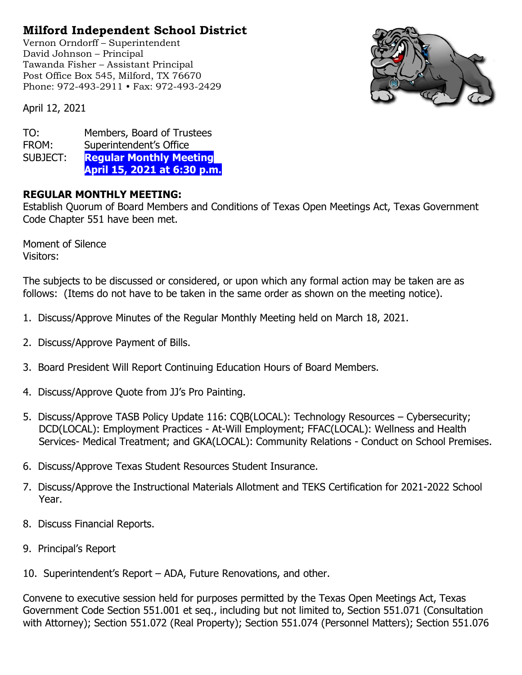## Milford Independent School District

Vernon Orndorff – Superintendent David Johnson – Principal Tawanda Fisher – Assistant Principal Post Office Box 545, Milford, TX 76670 Phone: 972-493-2911 • Fax: 972-493-2429



April 12, 2021

| TO:      | Members, Board of Trustees     |
|----------|--------------------------------|
| FROM:    | Superintendent's Office        |
| SUBJECT: | <b>Regular Monthly Meeting</b> |
|          | April 15, 2021 at 6:30 p.m.    |

## REGULAR MONTHLY MEETING:

Establish Quorum of Board Members and Conditions of Texas Open Meetings Act, Texas Government Code Chapter 551 have been met.

Moment of Silence Visitors:

The subjects to be discussed or considered, or upon which any formal action may be taken are as follows: (Items do not have to be taken in the same order as shown on the meeting notice).

- 1. Discuss/Approve Minutes of the Regular Monthly Meeting held on March 18, 2021.
- 2. Discuss/Approve Payment of Bills.
- 3. Board President Will Report Continuing Education Hours of Board Members.
- 4. Discuss/Approve Quote from JJ's Pro Painting.
- 5. Discuss/Approve TASB Policy Update 116: CQB(LOCAL): Technology Resources Cybersecurity; DCD(LOCAL): Employment Practices - At-Will Employment; FFAC(LOCAL): Wellness and Health Services- Medical Treatment; and GKA(LOCAL): Community Relations - Conduct on School Premises.
- 6. Discuss/Approve Texas Student Resources Student Insurance.
- 7. Discuss/Approve the Instructional Materials Allotment and TEKS Certification for 2021-2022 School Year.
- 8. Discuss Financial Reports.
- 9. Principal's Report
- 10. Superintendent's Report ADA, Future Renovations, and other.

Convene to executive session held for purposes permitted by the Texas Open Meetings Act, Texas Government Code Section 551.001 et seq., including but not limited to, Section 551.071 (Consultation with Attorney); Section 551.072 (Real Property); Section 551.074 (Personnel Matters); Section 551.076